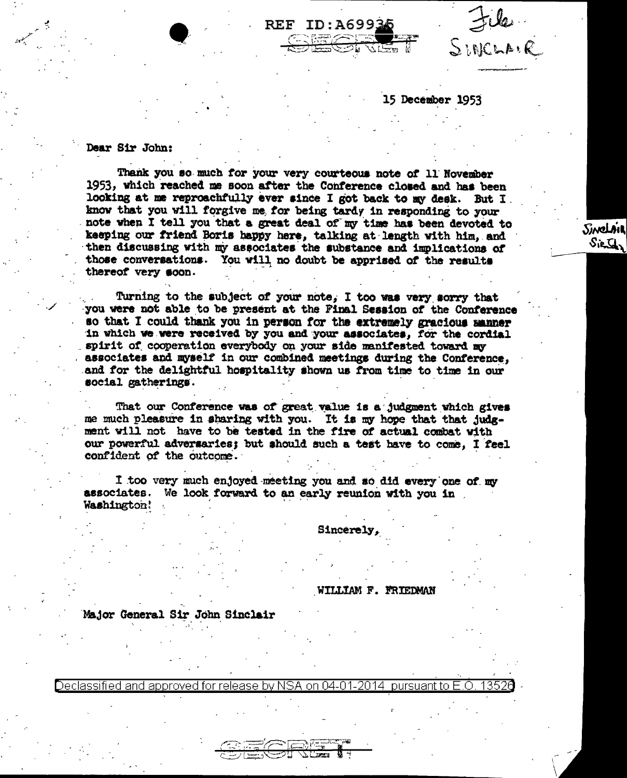File

Sinclair

Sienthy

15 December 1953

 $\frac{1}{2}$  or  $\frac{1}{2}$ 

## Dear Sir John:

Thank you so much for your very courteous note of 11 November 1953, which reached me soon after the Conference closed and has been looking at me reproachfully ever since I got back to my desk. But I. know that you will forgive me for being tardy in responding to your note when I tell you that a great deal of my time has been devoted to keeping our friend Boris happy here, talking at length with him, and then discussing with my associates the substance and implications of those conversations. You will no doubt be apprised of the results thereof very soon.

**REF ID:A69934** 

Turning to the subject of your note, I too was very sorry that you were not able to be present at the Final Session of the Conference so that I could thank you in person for the extremely gracious manner in which we were received by you and your associates, for the cordial spirit of cooperation everybody on your side manifested toward my associates and myself in our combined meetings during the Conference, and for the delightful hospitality shown us from time to time in our social gatherings.

That our Conference was of great value is a judgment which gives me much pleasure in sharing with you. It is my hope that that judgment will not have to be tested in the fire of actual combat with our powerful adversaries; but should such a test have to come, I feel confident of the outcome.

I too very much enjoyed meeting you and so did every one of my associates. We look forward to an early reunion with you in Washington!

Sincerely,

WILLIAM F. FRIEDMAN

Major General Sir John Sinclair

Declassified and approved for release by NSA on 04-01-2014 pursuant to E.O. 13526